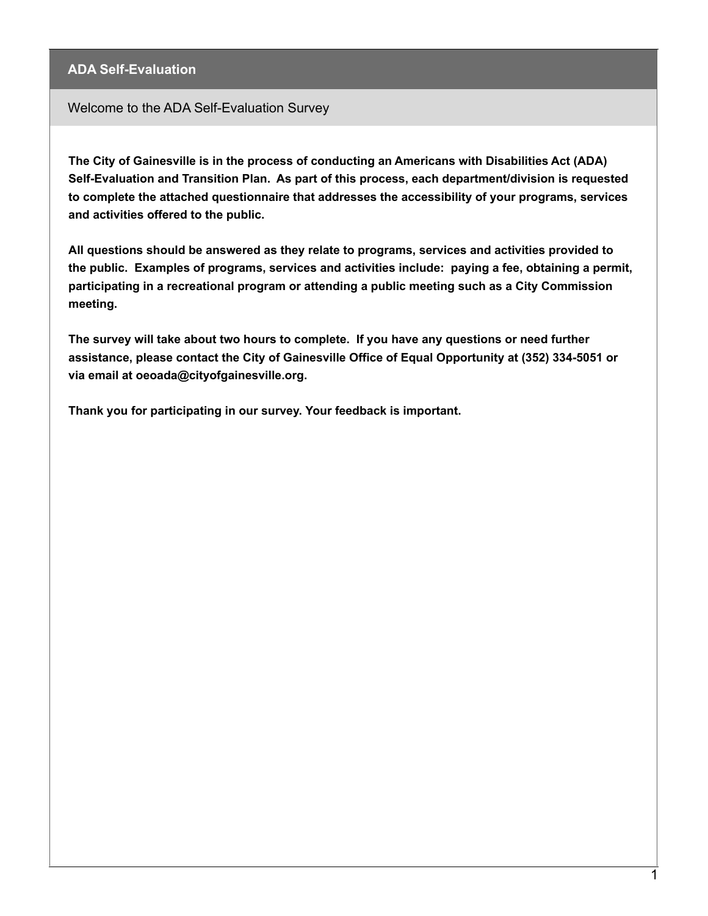Welcome to the ADA Self-Evaluation Survey

**The City of Gainesville is in the process of conducting an Americans with Disabilities Act (ADA) Self-Evaluation and Transition Plan. As part of this process, each department/division is requested to complete the attached questionnaire that addresses the accessibility of your programs, services and activities offered to the public.**

**All questions should be answered as they relate to programs, services and activities provided to the public. Examples of programs, services and activities include: paying a fee, obtaining a permit, participating in a recreational program or attending a public meeting such as a City Commission meeting.**

**The survey will take about two hours to complete. If you have any questions or need further assistance, please contact the City of Gainesville Office of Equal Opportunity at (352) 334-5051 or via email at oeoada@cityofgainesville.org.**

**Thank you for participating in our survey. Your feedback is important.**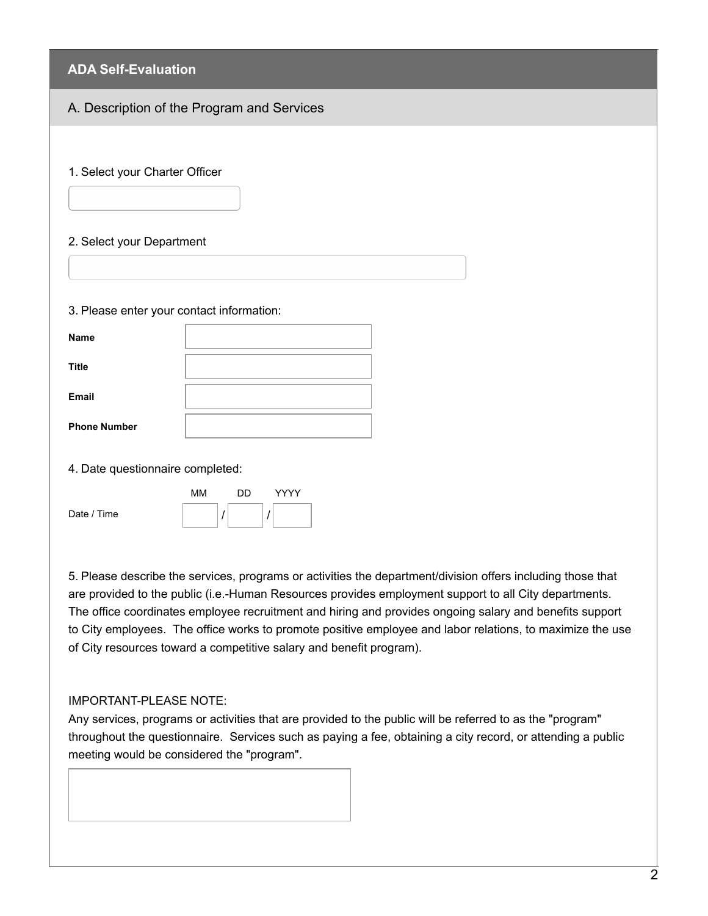| <b>ADA Self-Evaluation</b>                |                                            |
|-------------------------------------------|--------------------------------------------|
|                                           | A. Description of the Program and Services |
|                                           |                                            |
| 1. Select your Charter Officer            |                                            |
|                                           |                                            |
| 2. Select your Department                 |                                            |
|                                           |                                            |
|                                           |                                            |
| 3. Please enter your contact information: |                                            |
| <b>Name</b>                               |                                            |
| <b>Title</b>                              |                                            |
| Email                                     |                                            |
| <b>Phone Number</b>                       |                                            |
|                                           |                                            |
| 4. Date questionnaire completed:          |                                            |
|                                           | MM<br>DD<br>YYYY                           |
| Date / Time                               |                                            |

5. Please describe the services, programs or activities the department/division offers including those that are provided to the public (i.e.-Human Resources provides employment support to all City departments. The office coordinates employee recruitment and hiring and provides ongoing salary and benefits support to City employees. The office works to promote positive employee and labor relations, to maximize the use of City resources toward a competitive salary and benefit program).

#### IMPORTANT-PLEASE NOTE:

Any services, programs or activities that are provided to the public will be referred to as the "program" throughout the questionnaire. Services such as paying a fee, obtaining a city record, or attending a public meeting would be considered the "program".

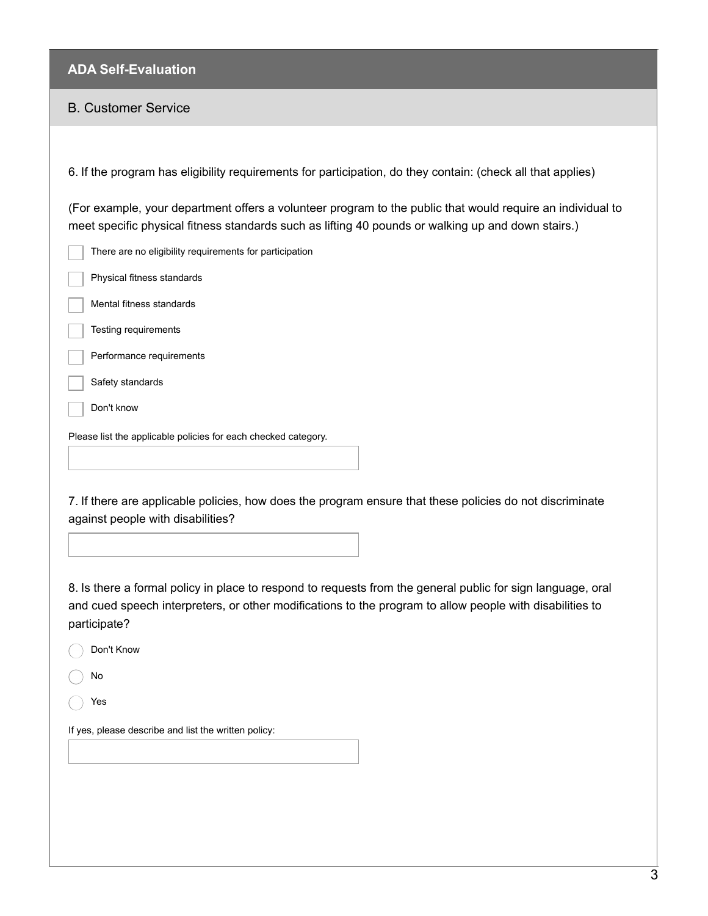# B. Customer Service

| 6. If the program has eligibility requirements for participation, do they contain: (check all that applies)                                                                                                                             |
|-----------------------------------------------------------------------------------------------------------------------------------------------------------------------------------------------------------------------------------------|
| (For example, your department offers a volunteer program to the public that would require an individual to<br>meet specific physical fitness standards such as lifting 40 pounds or walking up and down stairs.)                        |
| There are no eligibility requirements for participation                                                                                                                                                                                 |
| Physical fitness standards                                                                                                                                                                                                              |
| Mental fitness standards                                                                                                                                                                                                                |
| Testing requirements                                                                                                                                                                                                                    |
| Performance requirements                                                                                                                                                                                                                |
| Safety standards                                                                                                                                                                                                                        |
| Don't know                                                                                                                                                                                                                              |
| Please list the applicable policies for each checked category.                                                                                                                                                                          |
|                                                                                                                                                                                                                                         |
| 7. If there are applicable policies, how does the program ensure that these policies do not discriminate<br>against people with disabilities?                                                                                           |
| 8. Is there a formal policy in place to respond to requests from the general public for sign language, oral<br>and cued speech interpreters, or other modifications to the program to allow people with disabilities to<br>participate? |
| Don't Know                                                                                                                                                                                                                              |
| No                                                                                                                                                                                                                                      |
| Yes                                                                                                                                                                                                                                     |
| If yes, please describe and list the written policy:                                                                                                                                                                                    |
|                                                                                                                                                                                                                                         |
|                                                                                                                                                                                                                                         |
|                                                                                                                                                                                                                                         |
|                                                                                                                                                                                                                                         |
|                                                                                                                                                                                                                                         |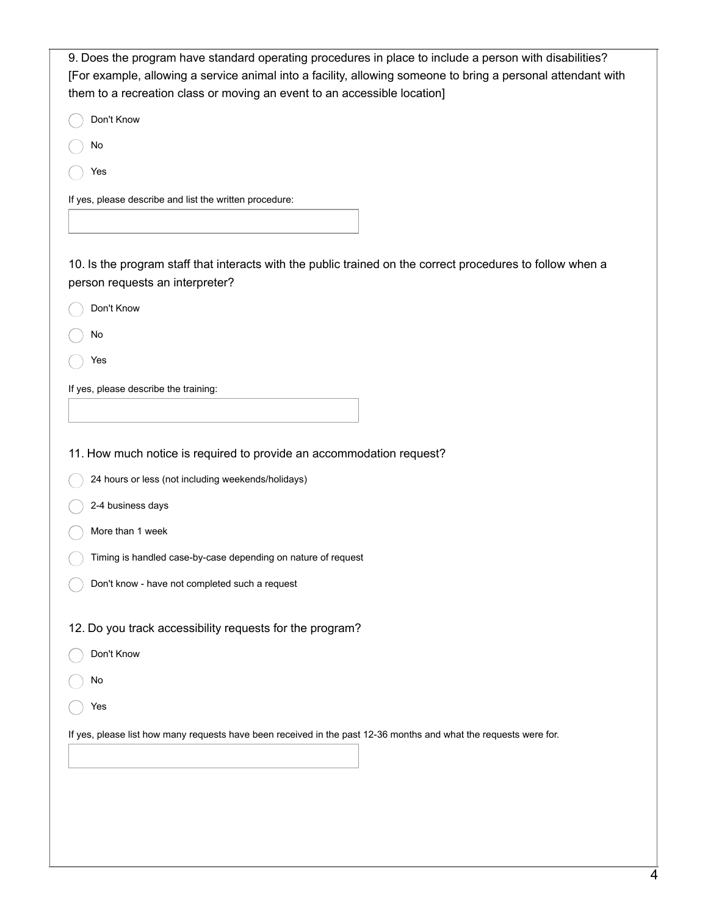| 9. Does the program have standard operating procedures in place to include a person with disabilities?            |
|-------------------------------------------------------------------------------------------------------------------|
| [For example, allowing a service animal into a facility, allowing someone to bring a personal attendant with      |
| them to a recreation class or moving an event to an accessible location]                                          |
| Don't Know                                                                                                        |
| No                                                                                                                |
| Yes                                                                                                               |
| If yes, please describe and list the written procedure:                                                           |
|                                                                                                                   |
| 10. Is the program staff that interacts with the public trained on the correct procedures to follow when a        |
| person requests an interpreter?                                                                                   |
| Don't Know                                                                                                        |
| No                                                                                                                |
| Yes                                                                                                               |
| If yes, please describe the training:                                                                             |
|                                                                                                                   |
|                                                                                                                   |
| 11. How much notice is required to provide an accommodation request?                                              |
| 24 hours or less (not including weekends/holidays)                                                                |
| 2-4 business days                                                                                                 |
| More than 1 week                                                                                                  |
| Timing is handled case-by-case depending on nature of request                                                     |
| Don't know - have not completed such a request                                                                    |
|                                                                                                                   |
| 12. Do you track accessibility requests for the program?                                                          |
| Don't Know                                                                                                        |
| No                                                                                                                |
| Yes                                                                                                               |
| If yes, please list how many requests have been received in the past 12-36 months and what the requests were for. |
|                                                                                                                   |
|                                                                                                                   |
|                                                                                                                   |
|                                                                                                                   |
|                                                                                                                   |
|                                                                                                                   |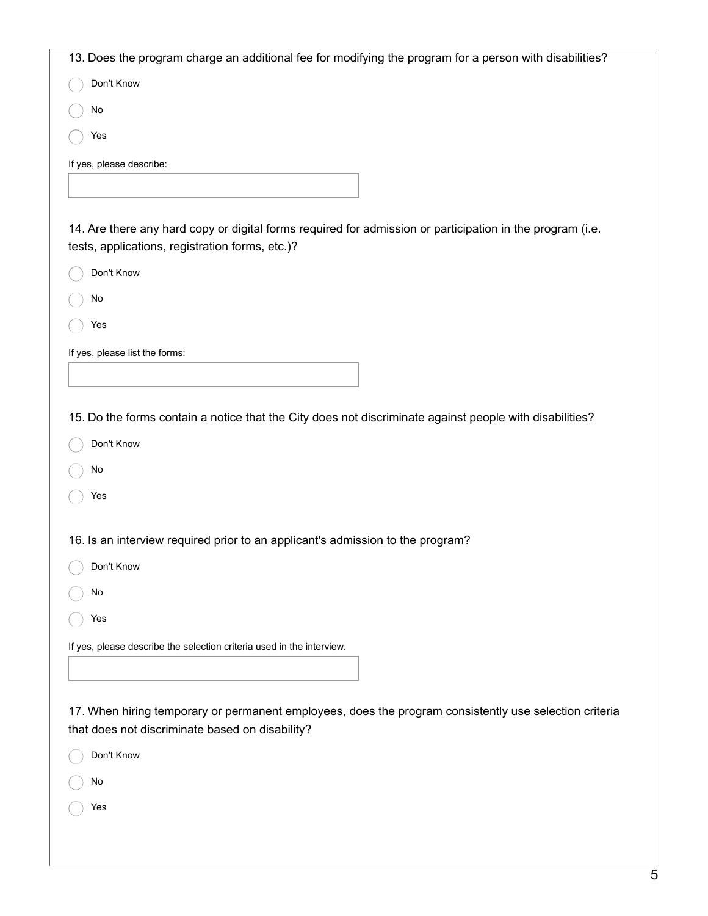| 13. Does the program charge an additional fee for modifying the program for a person with disabilities?                                                      |
|--------------------------------------------------------------------------------------------------------------------------------------------------------------|
| Don't Know                                                                                                                                                   |
| No                                                                                                                                                           |
| Yes                                                                                                                                                          |
| If yes, please describe:                                                                                                                                     |
|                                                                                                                                                              |
|                                                                                                                                                              |
| 14. Are there any hard copy or digital forms required for admission or participation in the program (i.e.<br>tests, applications, registration forms, etc.)? |
| Don't Know                                                                                                                                                   |
| No                                                                                                                                                           |
| Yes                                                                                                                                                          |
| If yes, please list the forms:                                                                                                                               |
|                                                                                                                                                              |
|                                                                                                                                                              |
| 15. Do the forms contain a notice that the City does not discriminate against people with disabilities?                                                      |
| Don't Know                                                                                                                                                   |
| No                                                                                                                                                           |
| Yes                                                                                                                                                          |
| 16. Is an interview required prior to an applicant's admission to the program?                                                                               |
| Don't Know                                                                                                                                                   |
| No                                                                                                                                                           |
| Yes                                                                                                                                                          |
| If yes, please describe the selection criteria used in the interview.                                                                                        |
|                                                                                                                                                              |
|                                                                                                                                                              |
| 17. When hiring temporary or permanent employees, does the program consistently use selection criteria<br>that does not discriminate based on disability?    |
| Don't Know                                                                                                                                                   |
| No                                                                                                                                                           |
| Yes                                                                                                                                                          |
|                                                                                                                                                              |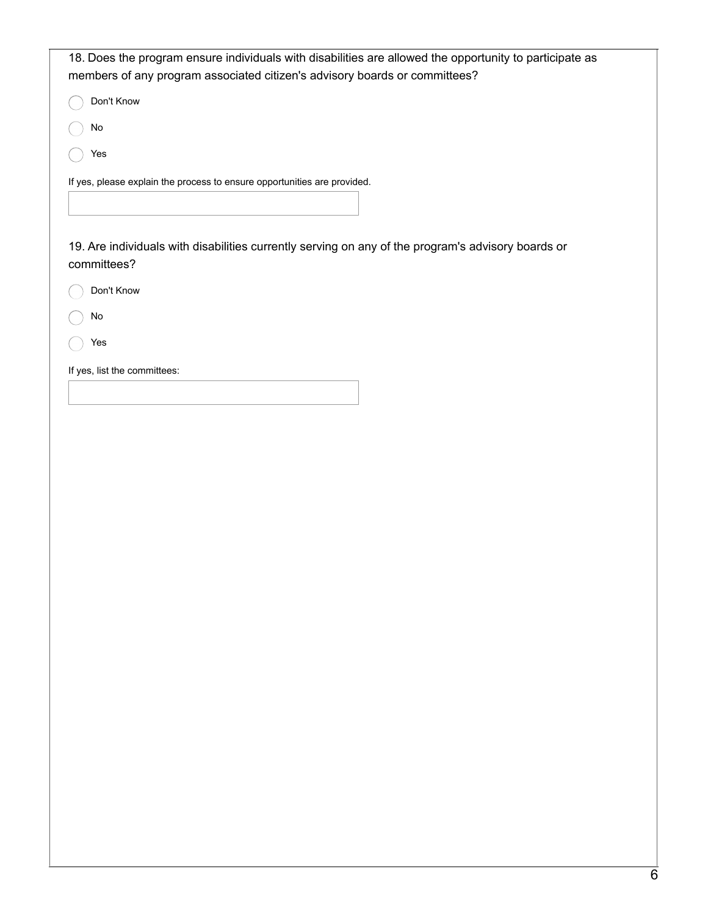| 18. Does the program ensure individuals with disabilities are allowed the opportunity to participate as           |
|-------------------------------------------------------------------------------------------------------------------|
| members of any program associated citizen's advisory boards or committees?                                        |
| Don't Know                                                                                                        |
| No                                                                                                                |
| Yes                                                                                                               |
| If yes, please explain the process to ensure opportunities are provided.                                          |
|                                                                                                                   |
| 19. Are individuals with disabilities currently serving on any of the program's advisory boards or<br>committees? |
| Don't Know                                                                                                        |
| No                                                                                                                |
| Yes                                                                                                               |
| If yes, list the committees:                                                                                      |
|                                                                                                                   |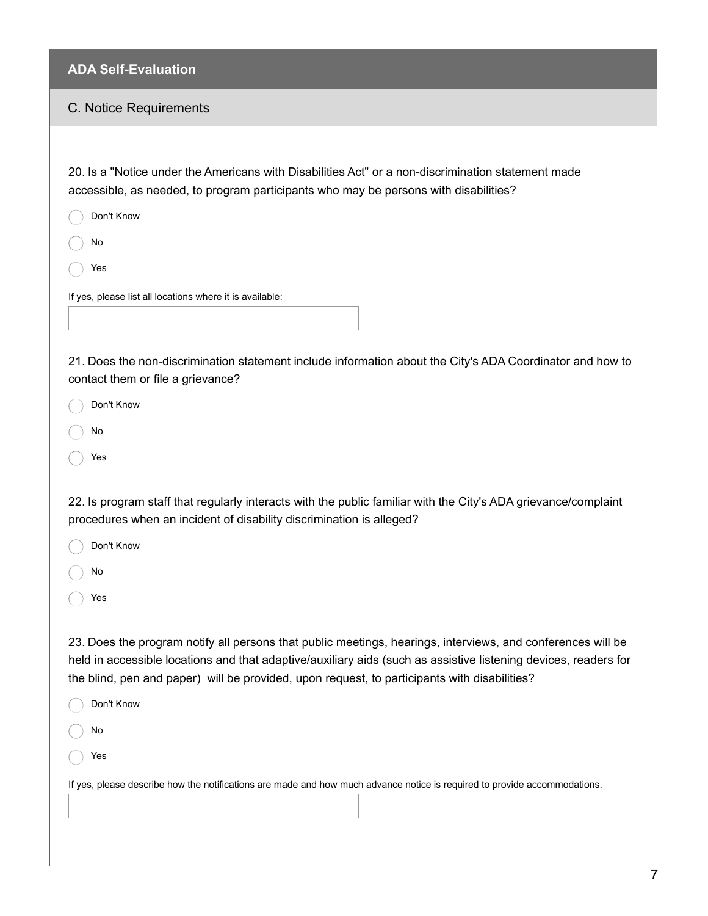#### C. Notice Requirements

20. Is a "Notice under the Americans with Disabilities Act" or a non-discrimination statement made accessible, as needed, to program participants who may be persons with disabilities?

- Don't Know
- No
- Yes

If yes, please list all locations where it is available:

21. Does the non-discrimination statement include information about the City's ADA Coordinator and how to contact them or file a grievance?

Don't Know

- No
- Yes

22. Is program staff that regularly interacts with the public familiar with the City's ADA grievance/complaint procedures when an incident of disability discrimination is alleged?

Don't Know

- No
- Yes

23. Does the program notify all persons that public meetings, hearings, interviews, and conferences will be held in accessible locations and that adaptive/auxiliary aids (such as assistive listening devices, readers for the blind, pen and paper) will be provided, upon request, to participants with disabilities?

| Don't Know                                                                                                                |
|---------------------------------------------------------------------------------------------------------------------------|
| No                                                                                                                        |
| Yes                                                                                                                       |
| If yes, please describe how the notifications are made and how much advance notice is required to provide accommodations. |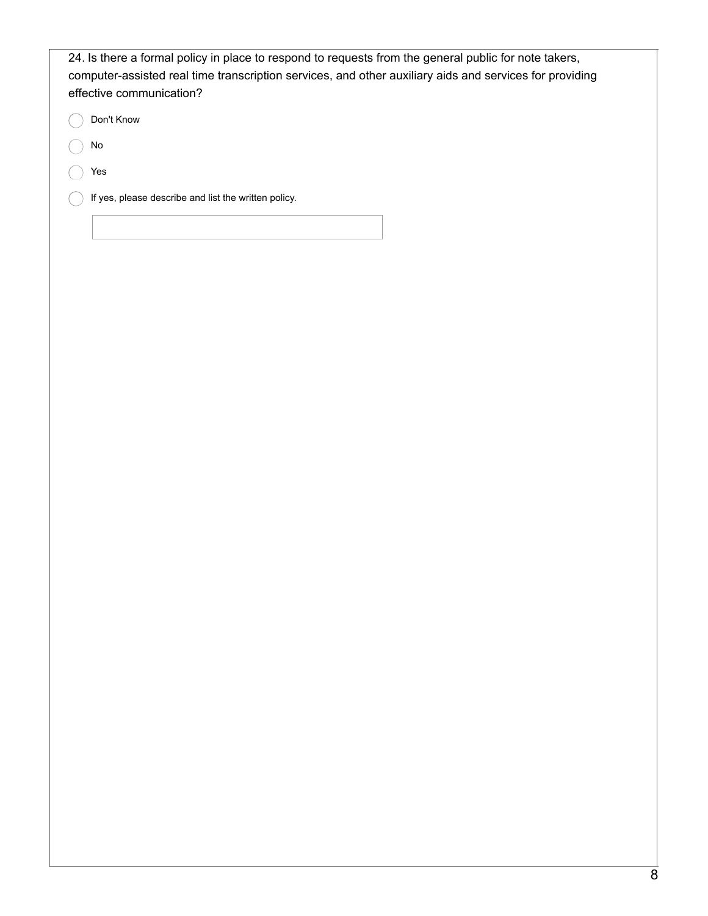| 24. Is there a formal policy in place to respond to requests from the general public for note takers,<br>computer-assisted real time transcription services, and other auxiliary aids and services for providing<br>effective communication? |
|----------------------------------------------------------------------------------------------------------------------------------------------------------------------------------------------------------------------------------------------|
| Don't Know                                                                                                                                                                                                                                   |
| No                                                                                                                                                                                                                                           |
| Yes                                                                                                                                                                                                                                          |
| If yes, please describe and list the written policy.                                                                                                                                                                                         |
|                                                                                                                                                                                                                                              |
|                                                                                                                                                                                                                                              |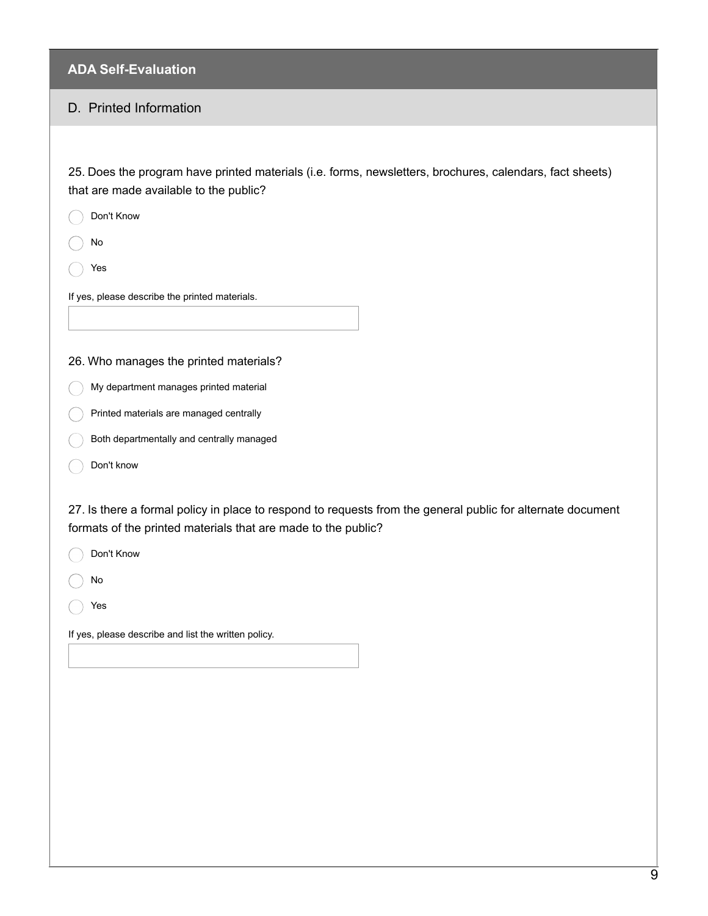#### D. Printed Information

25. Does the program have printed materials (i.e. forms, newsletters, brochures, calendars, fact sheets) that are made available to the public?

No

Yes

If yes, please describe the printed materials.

#### 26. Who manages the printed materials?

- C My department manages printed material
- Printed materials are managed centrally
- Both departmentally and centrally managed
- Don't know

27. Is there a formal policy in place to respond to requests from the general public for alternate document formats of the printed materials that are made to the public?

Don't Know

No

Yes

If yes, please describe and list the written policy.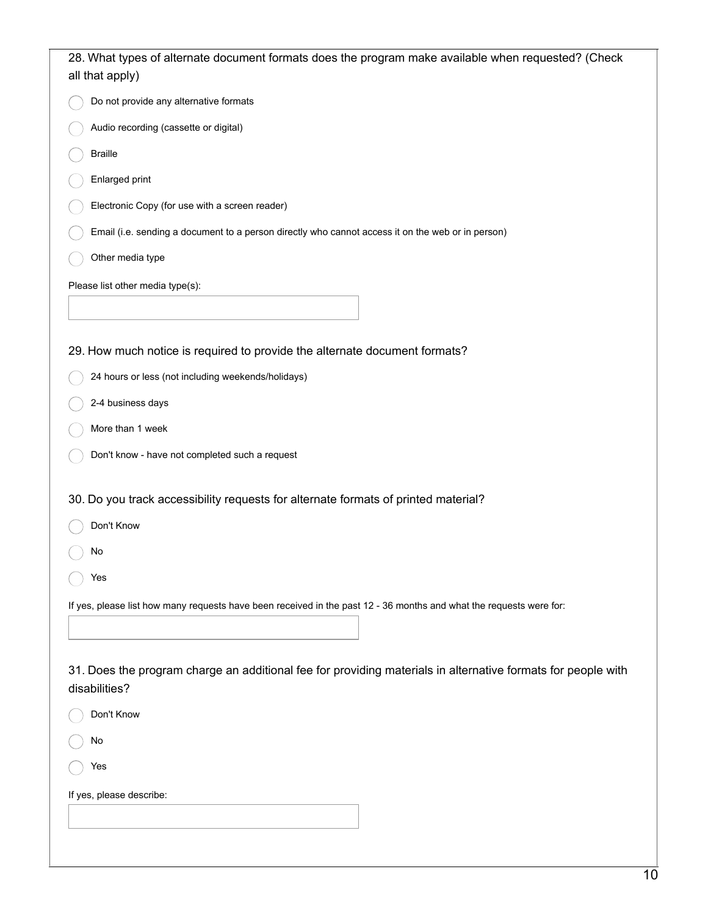| 28. What types of alternate document formats does the program make available when requested? (Check<br>all that apply)        |
|-------------------------------------------------------------------------------------------------------------------------------|
| Do not provide any alternative formats                                                                                        |
| Audio recording (cassette or digital)                                                                                         |
| <b>Braille</b>                                                                                                                |
| Enlarged print                                                                                                                |
| Electronic Copy (for use with a screen reader)                                                                                |
| Email (i.e. sending a document to a person directly who cannot access it on the web or in person)                             |
| Other media type                                                                                                              |
| Please list other media type(s):                                                                                              |
|                                                                                                                               |
|                                                                                                                               |
| 29. How much notice is required to provide the alternate document formats?                                                    |
| 24 hours or less (not including weekends/holidays)                                                                            |
| 2-4 business days                                                                                                             |
| More than 1 week                                                                                                              |
| Don't know - have not completed such a request                                                                                |
| 30. Do you track accessibility requests for alternate formats of printed material?                                            |
| Don't Know                                                                                                                    |
| No                                                                                                                            |
| Yes                                                                                                                           |
| If yes, please list how many requests have been received in the past 12 - 36 months and what the requests were for:           |
|                                                                                                                               |
|                                                                                                                               |
| 31. Does the program charge an additional fee for providing materials in alternative formats for people with<br>disabilities? |
| Don't Know                                                                                                                    |
| No                                                                                                                            |
| Yes                                                                                                                           |
| If yes, please describe:                                                                                                      |
|                                                                                                                               |
|                                                                                                                               |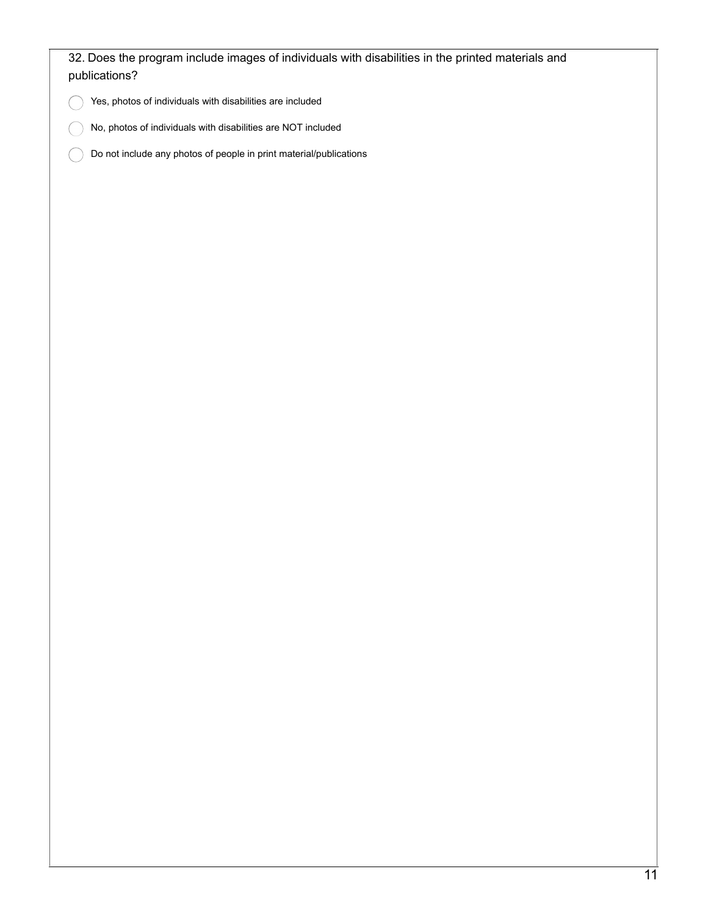| Yes, photos of individuals with disabilities are included          |  |  |  |
|--------------------------------------------------------------------|--|--|--|
| No, photos of individuals with disabilities are NOT included       |  |  |  |
| Do not include any photos of people in print material/publications |  |  |  |
|                                                                    |  |  |  |
|                                                                    |  |  |  |
|                                                                    |  |  |  |
|                                                                    |  |  |  |
|                                                                    |  |  |  |
|                                                                    |  |  |  |
|                                                                    |  |  |  |
|                                                                    |  |  |  |
|                                                                    |  |  |  |
|                                                                    |  |  |  |
|                                                                    |  |  |  |
|                                                                    |  |  |  |
|                                                                    |  |  |  |
|                                                                    |  |  |  |
|                                                                    |  |  |  |
|                                                                    |  |  |  |
|                                                                    |  |  |  |
|                                                                    |  |  |  |
|                                                                    |  |  |  |
|                                                                    |  |  |  |
|                                                                    |  |  |  |
|                                                                    |  |  |  |
|                                                                    |  |  |  |
|                                                                    |  |  |  |
|                                                                    |  |  |  |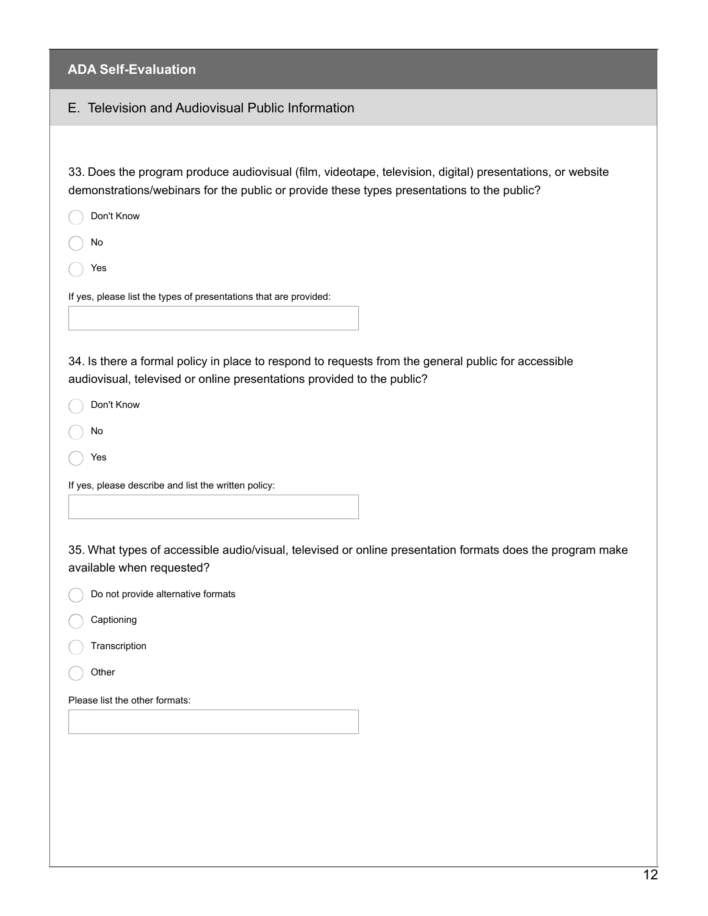### E. Television and Audiovisual Public Information

33. Does the program produce audiovisual (film, videotape, television, digital) presentations, or website demonstrations/webinars for the public or provide these types presentations to the public?

- Don't Know
- No
- Yes

If yes, please list the types of presentations that are provided:

34. Is there a formal policy in place to respond to requests from the general public for accessible audiovisual, televised or online presentations provided to the public?

- Don't Know
- No
- Yes

If yes, please describe and list the written policy:

35. What types of accessible audio/visual, televised or online presentation formats does the program make available when requested?

- Do not provide alternative formats
- Captioning
- **Transcription**
- **Other**

Please list the other formats: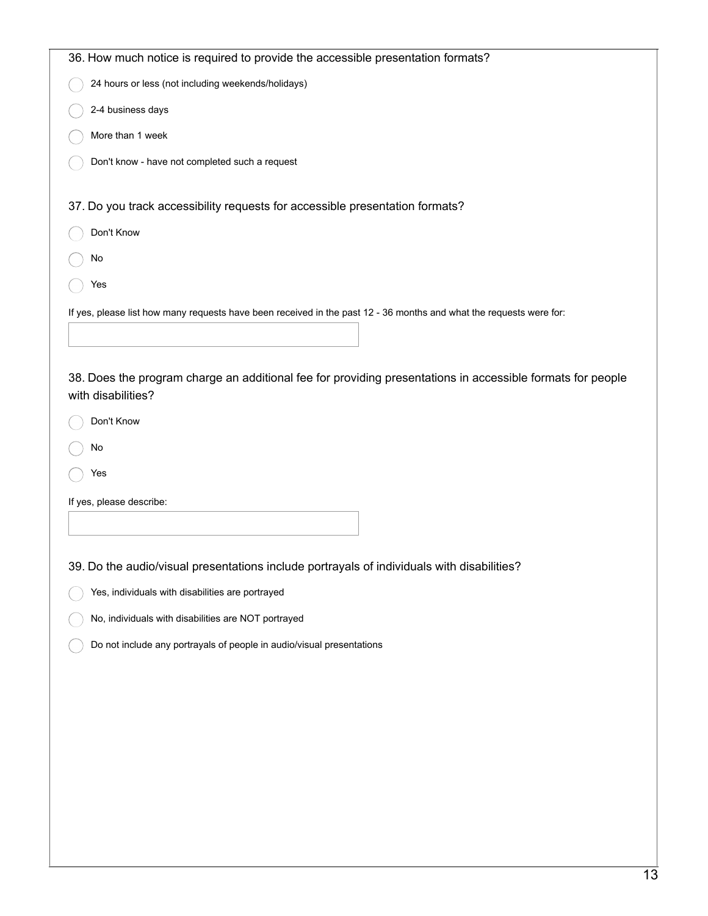| 36. How much notice is required to provide the accessible presentation formats?                                     |
|---------------------------------------------------------------------------------------------------------------------|
| 24 hours or less (not including weekends/holidays)                                                                  |
| 2-4 business days                                                                                                   |
| More than 1 week                                                                                                    |
| Don't know - have not completed such a request                                                                      |
|                                                                                                                     |
| 37. Do you track accessibility requests for accessible presentation formats?                                        |
| Don't Know                                                                                                          |
| No                                                                                                                  |
| Yes                                                                                                                 |
| If yes, please list how many requests have been received in the past 12 - 36 months and what the requests were for: |
|                                                                                                                     |
| 38. Does the program charge an additional fee for providing presentations in accessible formats for people          |
| with disabilities?                                                                                                  |
| Don't Know                                                                                                          |
| No                                                                                                                  |
| Yes                                                                                                                 |
| If yes, please describe:                                                                                            |
|                                                                                                                     |
|                                                                                                                     |
| 39. Do the audio/visual presentations include portrayals of individuals with disabilities?                          |
| Yes, individuals with disabilities are portrayed                                                                    |
| No, individuals with disabilities are NOT portrayed                                                                 |
| Do not include any portrayals of people in audio/visual presentations                                               |
|                                                                                                                     |
|                                                                                                                     |
|                                                                                                                     |
|                                                                                                                     |
|                                                                                                                     |
|                                                                                                                     |
|                                                                                                                     |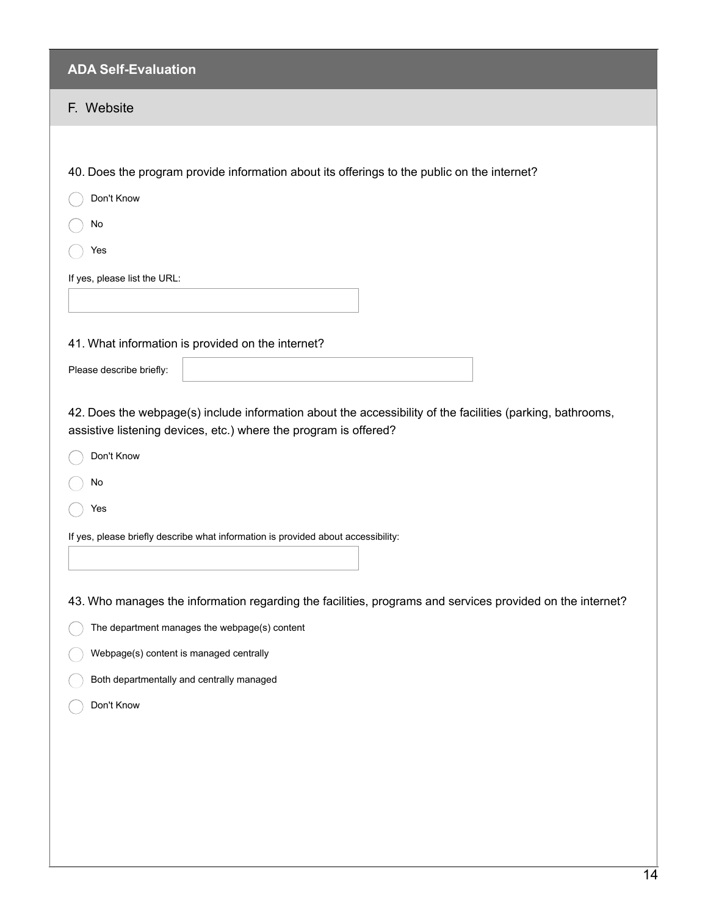# F. Website

|                                               | 40. Does the program provide information about its offerings to the public on the internet?                                                                                    |  |
|-----------------------------------------------|--------------------------------------------------------------------------------------------------------------------------------------------------------------------------------|--|
| Don't Know                                    |                                                                                                                                                                                |  |
| No                                            |                                                                                                                                                                                |  |
| Yes                                           |                                                                                                                                                                                |  |
| If yes, please list the URL:                  |                                                                                                                                                                                |  |
|                                               |                                                                                                                                                                                |  |
|                                               |                                                                                                                                                                                |  |
|                                               | 41. What information is provided on the internet?                                                                                                                              |  |
| Please describe briefly:                      |                                                                                                                                                                                |  |
|                                               | 42. Does the webpage(s) include information about the accessibility of the facilities (parking, bathrooms,<br>assistive listening devices, etc.) where the program is offered? |  |
| Don't Know                                    |                                                                                                                                                                                |  |
| No                                            |                                                                                                                                                                                |  |
| Yes                                           |                                                                                                                                                                                |  |
|                                               | If yes, please briefly describe what information is provided about accessibility:                                                                                              |  |
|                                               |                                                                                                                                                                                |  |
|                                               | 43. Who manages the information regarding the facilities, programs and services provided on the internet?                                                                      |  |
|                                               |                                                                                                                                                                                |  |
| The department manages the webpage(s) content |                                                                                                                                                                                |  |
| Webpage(s) content is managed centrally       |                                                                                                                                                                                |  |
| Both departmentally and centrally managed     |                                                                                                                                                                                |  |
| Don't Know                                    |                                                                                                                                                                                |  |
|                                               |                                                                                                                                                                                |  |
|                                               |                                                                                                                                                                                |  |
|                                               |                                                                                                                                                                                |  |
|                                               |                                                                                                                                                                                |  |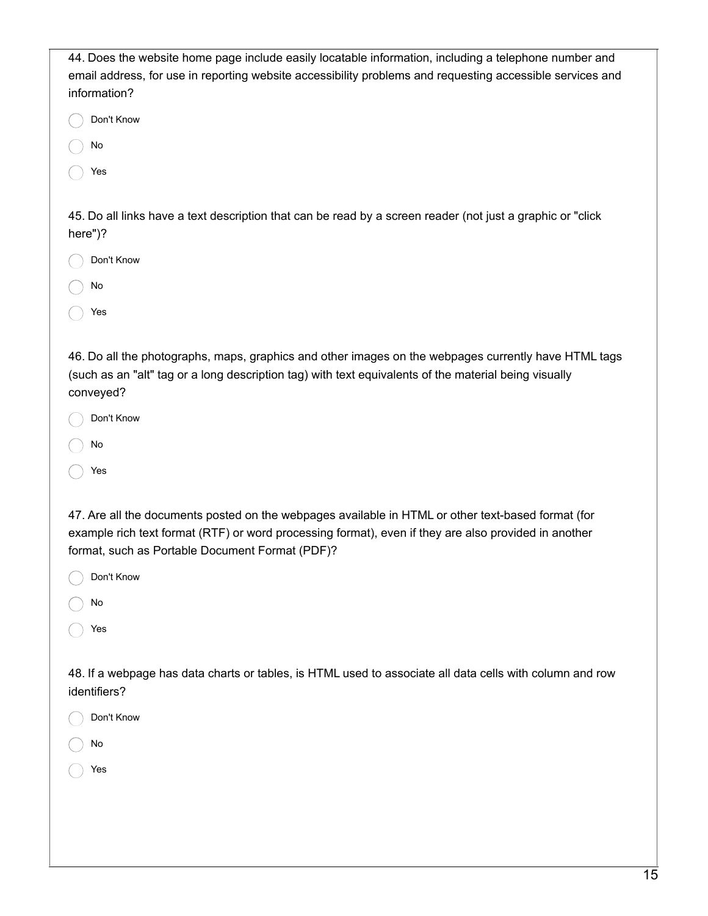| 44. Does the website home page include easily locatable information, including a telephone number and<br>email address, for use in reporting website accessibility problems and requesting accessible services and<br>information?                            |
|---------------------------------------------------------------------------------------------------------------------------------------------------------------------------------------------------------------------------------------------------------------|
| Don't Know                                                                                                                                                                                                                                                    |
| No                                                                                                                                                                                                                                                            |
| Yes                                                                                                                                                                                                                                                           |
| 45. Do all links have a text description that can be read by a screen reader (not just a graphic or "click<br>here")?                                                                                                                                         |
| Don't Know                                                                                                                                                                                                                                                    |
| No                                                                                                                                                                                                                                                            |
| Yes                                                                                                                                                                                                                                                           |
| 46. Do all the photographs, maps, graphics and other images on the webpages currently have HTML tags<br>(such as an "alt" tag or a long description tag) with text equivalents of the material being visually<br>conveyed?                                    |
| Don't Know                                                                                                                                                                                                                                                    |
| No                                                                                                                                                                                                                                                            |
| Yes                                                                                                                                                                                                                                                           |
| 47. Are all the documents posted on the webpages available in HTML or other text-based format (for<br>example rich text format (RTF) or word processing format), even if they are also provided in another<br>format, such as Portable Document Format (PDF)? |
| Don't Know                                                                                                                                                                                                                                                    |
| No                                                                                                                                                                                                                                                            |
| Yes                                                                                                                                                                                                                                                           |
| 48. If a webpage has data charts or tables, is HTML used to associate all data cells with column and row<br>identifiers?                                                                                                                                      |
| Don't Know                                                                                                                                                                                                                                                    |
| No                                                                                                                                                                                                                                                            |
| Yes                                                                                                                                                                                                                                                           |
|                                                                                                                                                                                                                                                               |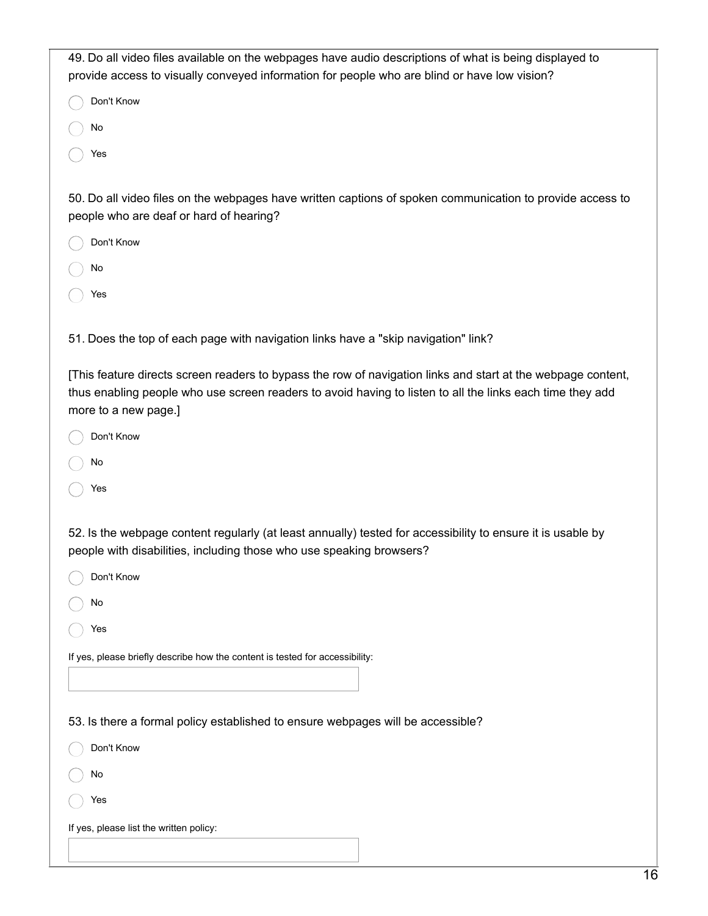| 49. Do all video files available on the webpages have audio descriptions of what is being displayed to                                               |
|------------------------------------------------------------------------------------------------------------------------------------------------------|
| provide access to visually conveyed information for people who are blind or have low vision?                                                         |
| Don't Know                                                                                                                                           |
| No                                                                                                                                                   |
| Yes                                                                                                                                                  |
|                                                                                                                                                      |
| 50. Do all video files on the webpages have written captions of spoken communication to provide access to<br>people who are deaf or hard of hearing? |
| Don't Know                                                                                                                                           |
| No                                                                                                                                                   |
| Yes                                                                                                                                                  |
|                                                                                                                                                      |
| 51. Does the top of each page with navigation links have a "skip navigation" link?                                                                   |
|                                                                                                                                                      |
| [This feature directs screen readers to bypass the row of navigation links and start at the webpage content,                                         |
| thus enabling people who use screen readers to avoid having to listen to all the links each time they add<br>more to a new page.]                    |
| Don't Know                                                                                                                                           |
|                                                                                                                                                      |
| No                                                                                                                                                   |
| Yes                                                                                                                                                  |
|                                                                                                                                                      |
| 52. Is the webpage content regularly (at least annually) tested for accessibility to ensure it is usable by                                          |
| people with disabilities, including those who use speaking browsers?                                                                                 |
| Don't Know                                                                                                                                           |
| No                                                                                                                                                   |
| Yes                                                                                                                                                  |
| If yes, please briefly describe how the content is tested for accessibility:                                                                         |
|                                                                                                                                                      |
|                                                                                                                                                      |
| 53. Is there a formal policy established to ensure webpages will be accessible?                                                                      |
| Don't Know                                                                                                                                           |
| No                                                                                                                                                   |
| Yes                                                                                                                                                  |
| If yes, please list the written policy:                                                                                                              |
|                                                                                                                                                      |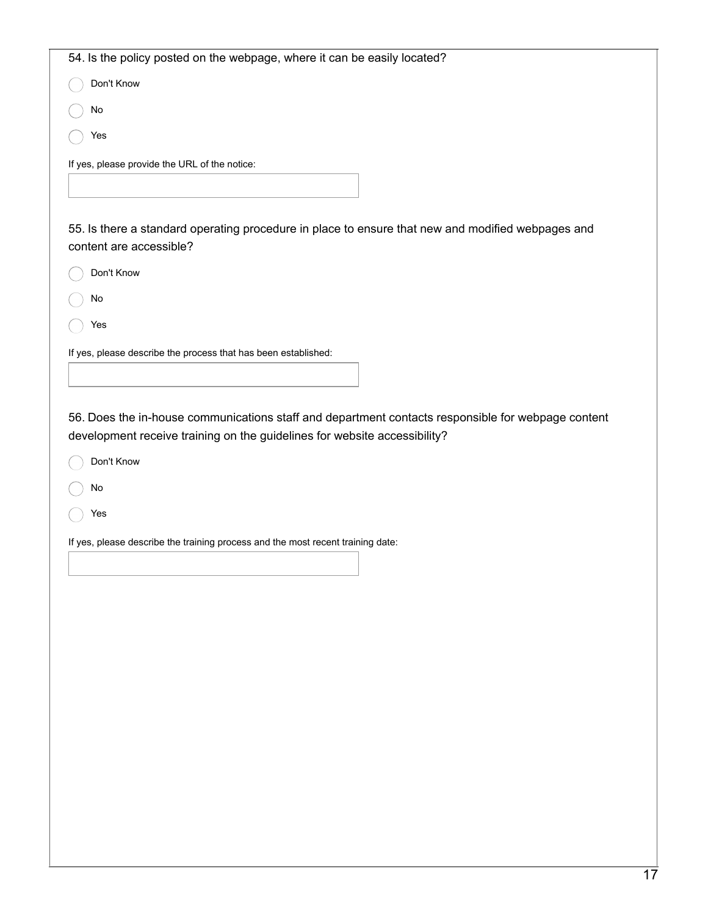| 54. Is the policy posted on the webpage, where it can be easily located?                                                                                                                      |
|-----------------------------------------------------------------------------------------------------------------------------------------------------------------------------------------------|
| Don't Know                                                                                                                                                                                    |
| No                                                                                                                                                                                            |
| Yes                                                                                                                                                                                           |
| If yes, please provide the URL of the notice:                                                                                                                                                 |
|                                                                                                                                                                                               |
|                                                                                                                                                                                               |
| 55. Is there a standard operating procedure in place to ensure that new and modified webpages and<br>content are accessible?                                                                  |
| Don't Know                                                                                                                                                                                    |
| No                                                                                                                                                                                            |
| Yes                                                                                                                                                                                           |
| If yes, please describe the process that has been established:                                                                                                                                |
|                                                                                                                                                                                               |
| 56. Does the in-house communications staff and department contacts responsible for webpage content<br>development receive training on the guidelines for website accessibility?<br>Don't Know |
| No                                                                                                                                                                                            |
|                                                                                                                                                                                               |
| Yes                                                                                                                                                                                           |
| If yes, please describe the training process and the most recent training date:                                                                                                               |
|                                                                                                                                                                                               |
|                                                                                                                                                                                               |
|                                                                                                                                                                                               |
|                                                                                                                                                                                               |
|                                                                                                                                                                                               |
|                                                                                                                                                                                               |
|                                                                                                                                                                                               |
|                                                                                                                                                                                               |
|                                                                                                                                                                                               |
|                                                                                                                                                                                               |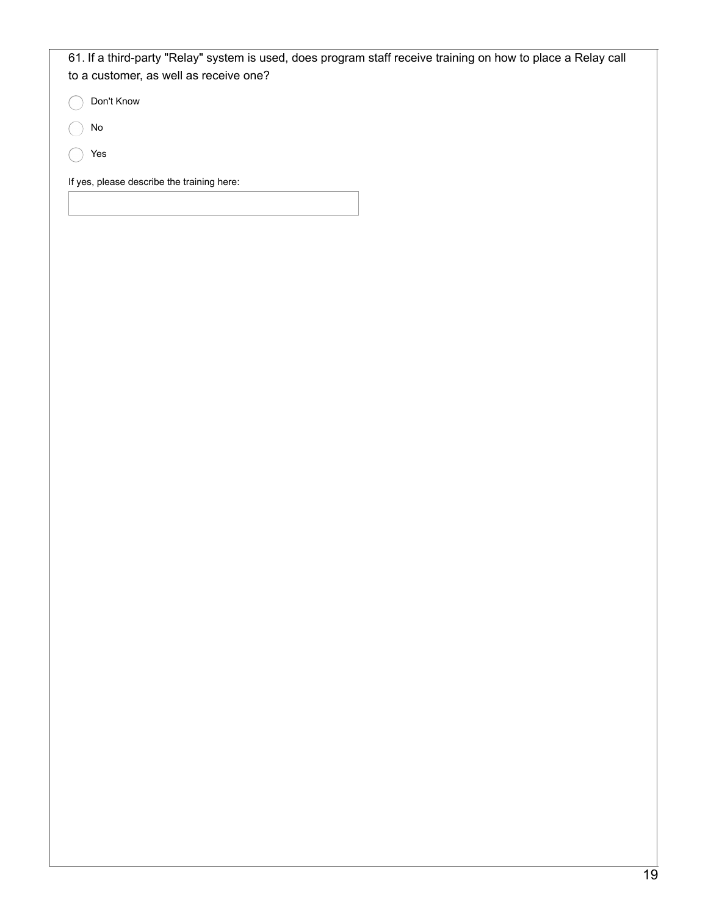| 61. If a third-party "Relay" system is used, does program staff receive training on how to place a Relay call<br>to a customer, as well as receive one? |  |  |
|---------------------------------------------------------------------------------------------------------------------------------------------------------|--|--|
| Don't Know                                                                                                                                              |  |  |
| No                                                                                                                                                      |  |  |
| Yes                                                                                                                                                     |  |  |
| If yes, please describe the training here:                                                                                                              |  |  |
|                                                                                                                                                         |  |  |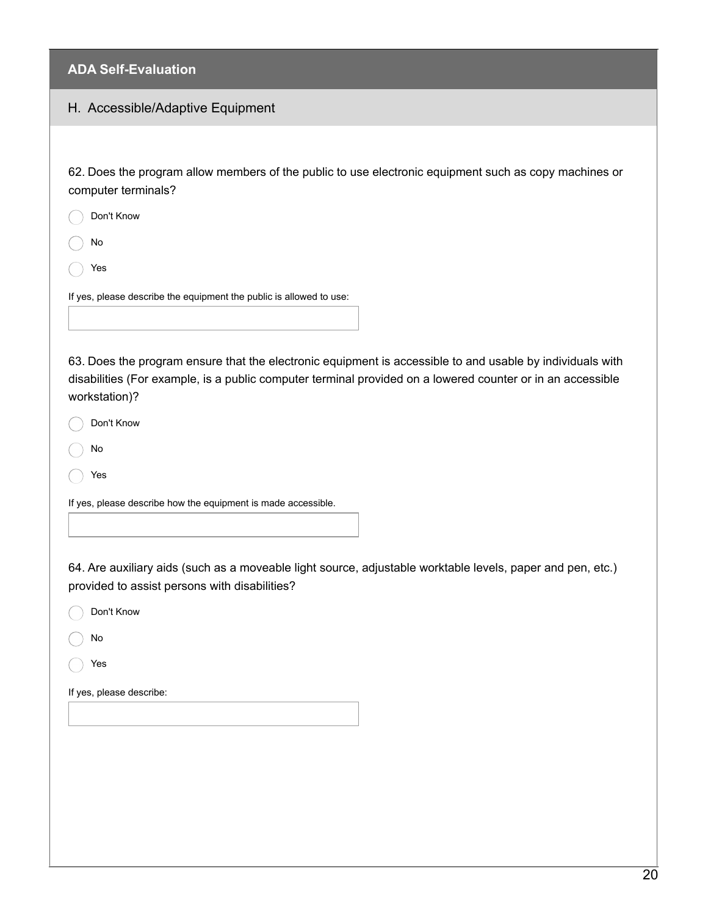#### H. Accessible/Adaptive Equipment

62. Does the program allow members of the public to use electronic equipment such as copy machines or computer terminals?

No

Yes

If yes, please describe the equipment the public is allowed to use:

63. Does the program ensure that the electronic equipment is accessible to and usable by individuals with disabilities (For example, is a public computer terminal provided on a lowered counter or in an accessible workstation)?

Don't Know

- No
- Yes

If yes, please describe how the equipment is made accessible.

64. Are auxiliary aids (such as a moveable light source, adjustable worktable levels, paper and pen, etc.) provided to assist persons with disabilities?

|  | Don't Know |
|--|------------|
|  |            |

No

Yes

If yes, please describe: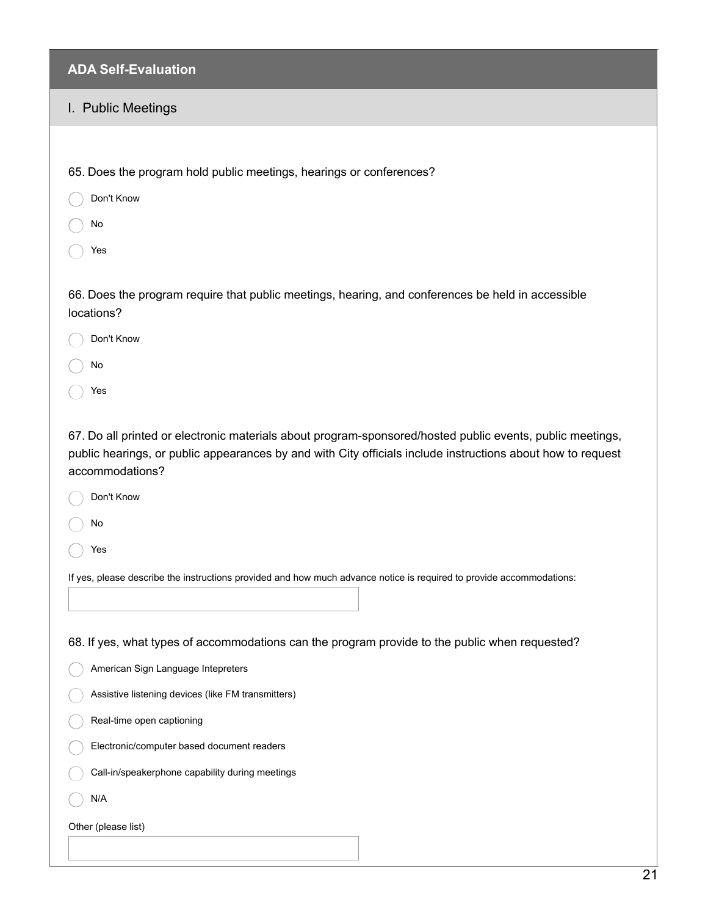# I. Public Meetings

| 65. Does the program hold public meetings, hearings or conferences?                                                                                                                                                                         |
|---------------------------------------------------------------------------------------------------------------------------------------------------------------------------------------------------------------------------------------------|
| Don't Know                                                                                                                                                                                                                                  |
| No                                                                                                                                                                                                                                          |
| Yes                                                                                                                                                                                                                                         |
|                                                                                                                                                                                                                                             |
| 66. Does the program require that public meetings, hearing, and conferences be held in accessible<br>locations?                                                                                                                             |
| Don't Know                                                                                                                                                                                                                                  |
| No                                                                                                                                                                                                                                          |
| Yes                                                                                                                                                                                                                                         |
|                                                                                                                                                                                                                                             |
| 67. Do all printed or electronic materials about program-sponsored/hosted public events, public meetings,<br>public hearings, or public appearances by and with City officials include instructions about how to request<br>accommodations? |
| Don't Know                                                                                                                                                                                                                                  |
| No                                                                                                                                                                                                                                          |
| Yes                                                                                                                                                                                                                                         |
| If yes, please describe the instructions provided and how much advance notice is required to provide accommodations:                                                                                                                        |
|                                                                                                                                                                                                                                             |
| 68. If yes, what types of accommodations can the program provide to the public when requested?                                                                                                                                              |
| American Sign Language Intepreters                                                                                                                                                                                                          |
| Assistive listening devices (like FM transmitters)                                                                                                                                                                                          |
| Real-time open captioning                                                                                                                                                                                                                   |
| Electronic/computer based document readers                                                                                                                                                                                                  |
| Call-in/speakerphone capability during meetings                                                                                                                                                                                             |
| N/A                                                                                                                                                                                                                                         |
| Other (please list)                                                                                                                                                                                                                         |
|                                                                                                                                                                                                                                             |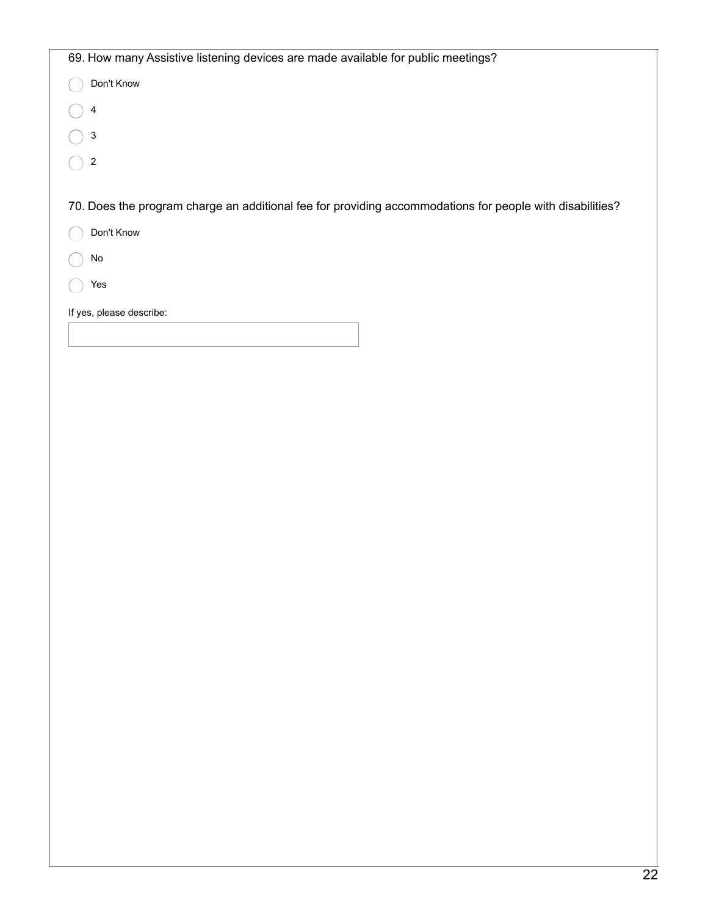| 69. How many Assistive listening devices are made available for public meetings?                         |  |  |
|----------------------------------------------------------------------------------------------------------|--|--|
| Don't Know                                                                                               |  |  |
| 4                                                                                                        |  |  |
| 3                                                                                                        |  |  |
| 2                                                                                                        |  |  |
|                                                                                                          |  |  |
| 70. Does the program charge an additional fee for providing accommodations for people with disabilities? |  |  |
| Don't Know                                                                                               |  |  |
| No                                                                                                       |  |  |
| Yes                                                                                                      |  |  |
| If yes, please describe:                                                                                 |  |  |
|                                                                                                          |  |  |
|                                                                                                          |  |  |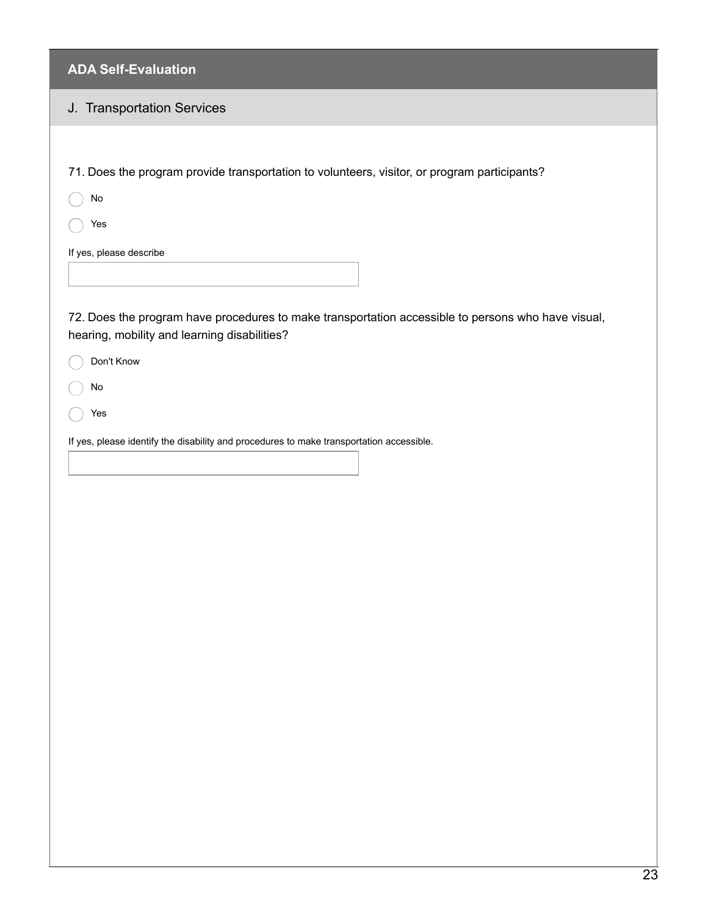# J. Transportation Services

| 71. Does the program provide transportation to volunteers, visitor, or program participants?                                                       |
|----------------------------------------------------------------------------------------------------------------------------------------------------|
| $\mathsf{No}$                                                                                                                                      |
| Yes                                                                                                                                                |
| If yes, please describe                                                                                                                            |
|                                                                                                                                                    |
|                                                                                                                                                    |
| 72. Does the program have procedures to make transportation accessible to persons who have visual,<br>hearing, mobility and learning disabilities? |
| Don't Know                                                                                                                                         |
| No                                                                                                                                                 |
| Yes                                                                                                                                                |
|                                                                                                                                                    |
| If yes, please identify the disability and procedures to make transportation accessible.                                                           |
|                                                                                                                                                    |
|                                                                                                                                                    |
|                                                                                                                                                    |
|                                                                                                                                                    |
|                                                                                                                                                    |
|                                                                                                                                                    |
|                                                                                                                                                    |
|                                                                                                                                                    |
|                                                                                                                                                    |
|                                                                                                                                                    |
|                                                                                                                                                    |
|                                                                                                                                                    |
|                                                                                                                                                    |
|                                                                                                                                                    |
|                                                                                                                                                    |
|                                                                                                                                                    |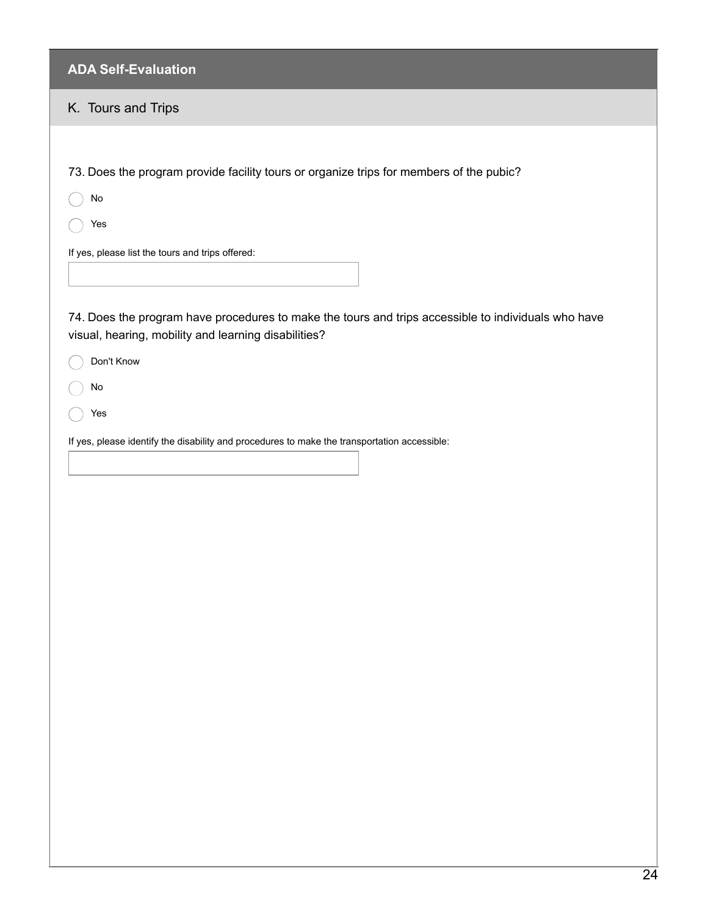| <b>ADA Self-Evaluation</b>                                                                                                                                  |
|-------------------------------------------------------------------------------------------------------------------------------------------------------------|
| K. Tours and Trips                                                                                                                                          |
|                                                                                                                                                             |
| 73. Does the program provide facility tours or organize trips for members of the pubic?                                                                     |
| No                                                                                                                                                          |
| Yes                                                                                                                                                         |
| If yes, please list the tours and trips offered:                                                                                                            |
| 74. Does the program have procedures to make the tours and trips accessible to individuals who have<br>visual, hearing, mobility and learning disabilities? |
| Don't Know                                                                                                                                                  |
| No                                                                                                                                                          |
| Yes                                                                                                                                                         |
| If yes, please identify the disability and procedures to make the transportation accessible:                                                                |
|                                                                                                                                                             |
|                                                                                                                                                             |
|                                                                                                                                                             |
|                                                                                                                                                             |
|                                                                                                                                                             |
|                                                                                                                                                             |
|                                                                                                                                                             |
|                                                                                                                                                             |
|                                                                                                                                                             |
|                                                                                                                                                             |
|                                                                                                                                                             |
|                                                                                                                                                             |
|                                                                                                                                                             |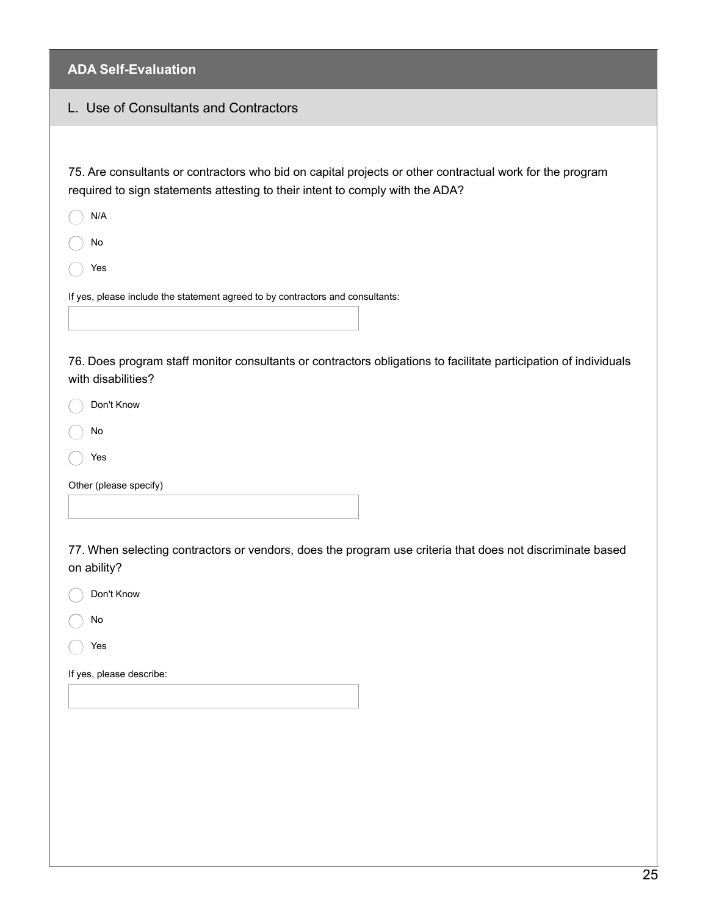| <b>ADA Self-Evaluation</b>                                                                                                                                                                |
|-------------------------------------------------------------------------------------------------------------------------------------------------------------------------------------------|
| L. Use of Consultants and Contractors                                                                                                                                                     |
|                                                                                                                                                                                           |
| 75. Are consultants or contractors who bid on capital projects or other contractual work for the program<br>required to sign statements attesting to their intent to comply with the ADA? |
| N/A                                                                                                                                                                                       |
| No                                                                                                                                                                                        |
| Yes                                                                                                                                                                                       |
| If yes, please include the statement agreed to by contractors and consultants:                                                                                                            |
| 76. Does program staff monitor consultants or contractors obligations to facilitate participation of individuals<br>with disabilities?                                                    |
| Don't Know                                                                                                                                                                                |
| No                                                                                                                                                                                        |
| Yes                                                                                                                                                                                       |
| Other (please specify)                                                                                                                                                                    |
|                                                                                                                                                                                           |
| 77. When selecting contractors or vendors, does the program use criteria that does not discriminate based<br>on ability?                                                                  |
| Don't Know                                                                                                                                                                                |
| No                                                                                                                                                                                        |
| Yes                                                                                                                                                                                       |
| If yes, please describe:                                                                                                                                                                  |
|                                                                                                                                                                                           |
|                                                                                                                                                                                           |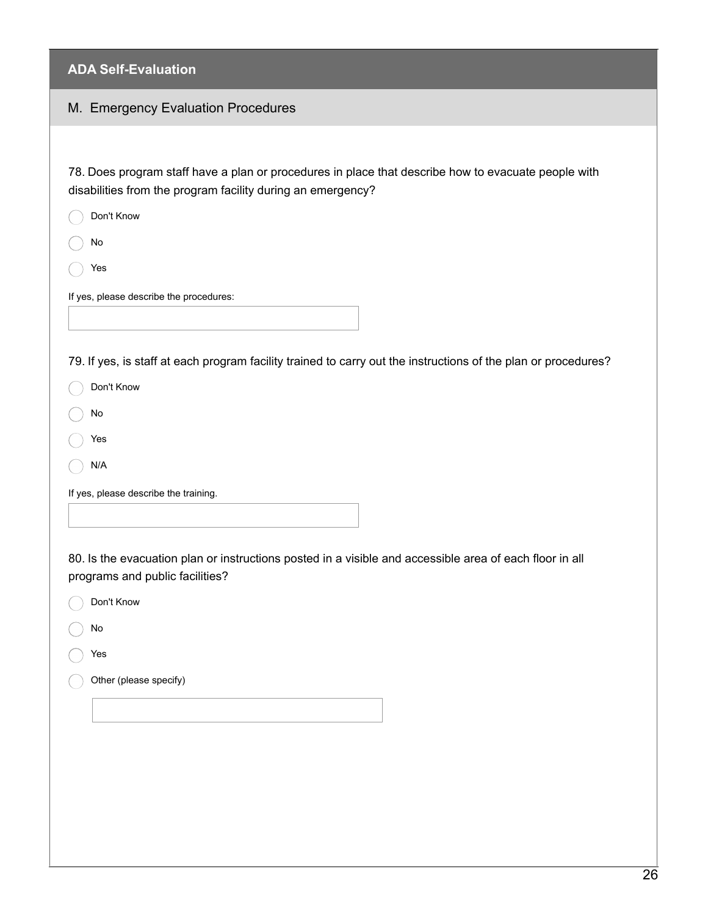| ADA JUI-LVAIUALIVII                                                                                                                                                |
|--------------------------------------------------------------------------------------------------------------------------------------------------------------------|
| M. Emergency Evaluation Procedures                                                                                                                                 |
|                                                                                                                                                                    |
| 78. Does program staff have a plan or procedures in place that describe how to evacuate people with<br>disabilities from the program facility during an emergency? |
| Don't Know                                                                                                                                                         |
| No                                                                                                                                                                 |
| Yes                                                                                                                                                                |
| If yes, please describe the procedures:                                                                                                                            |
|                                                                                                                                                                    |
| 79. If yes, is staff at each program facility trained to carry out the instructions of the plan or procedures?                                                     |
| Don't Know                                                                                                                                                         |
| No                                                                                                                                                                 |
| Yes                                                                                                                                                                |
| N/A                                                                                                                                                                |
| If yes, please describe the training.                                                                                                                              |
|                                                                                                                                                                    |
| 80. Is the evacuation plan or instructions posted in a visible and accessible area of each floor in all<br>programs and public facilities?                         |
| Don't Know                                                                                                                                                         |
| No                                                                                                                                                                 |
| Yes                                                                                                                                                                |
| Other (please specify)                                                                                                                                             |
|                                                                                                                                                                    |
|                                                                                                                                                                    |
|                                                                                                                                                                    |
|                                                                                                                                                                    |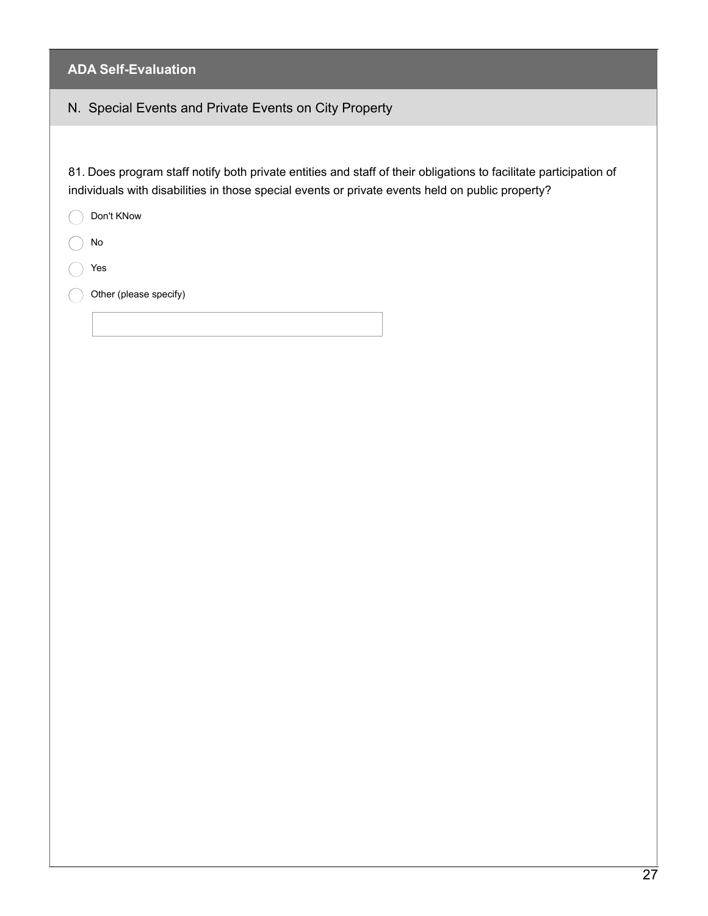# N. Special Events and Private Events on City Property

81. Does program staff notify both private entities and staff of their obligations to facilitate participation of individuals with disabilities in those special events or private events held on public property?

| Don't KNow             |
|------------------------|
| No                     |
| Yes                    |
| Other (please specify) |
|                        |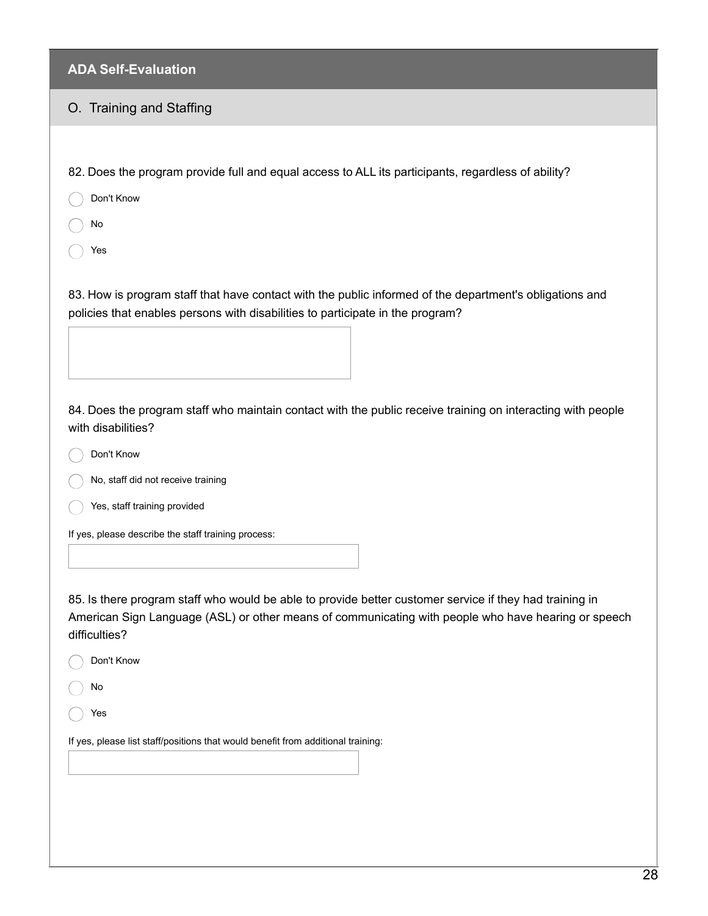#### O. Training and Staffing

82. Does the program provide full and equal access to ALL its participants, regardless of ability?

Don't Know

No

Yes

83. How is program staff that have contact with the public informed of the department's obligations and policies that enables persons with disabilities to participate in the program?

84. Does the program staff who maintain contact with the public receive training on interacting with people with disabilities?

Don't Know

No, staff did not receive training

Yes, staff training provided

If yes, please describe the staff training process:

85. Is there program staff who would be able to provide better customer service if they had training in American Sign Language (ASL) or other means of communicating with people who have hearing or speech difficulties?

| Don't Know                                                                       |
|----------------------------------------------------------------------------------|
| No                                                                               |
| Yes                                                                              |
| If yes, please list staff/positions that would benefit from additional training: |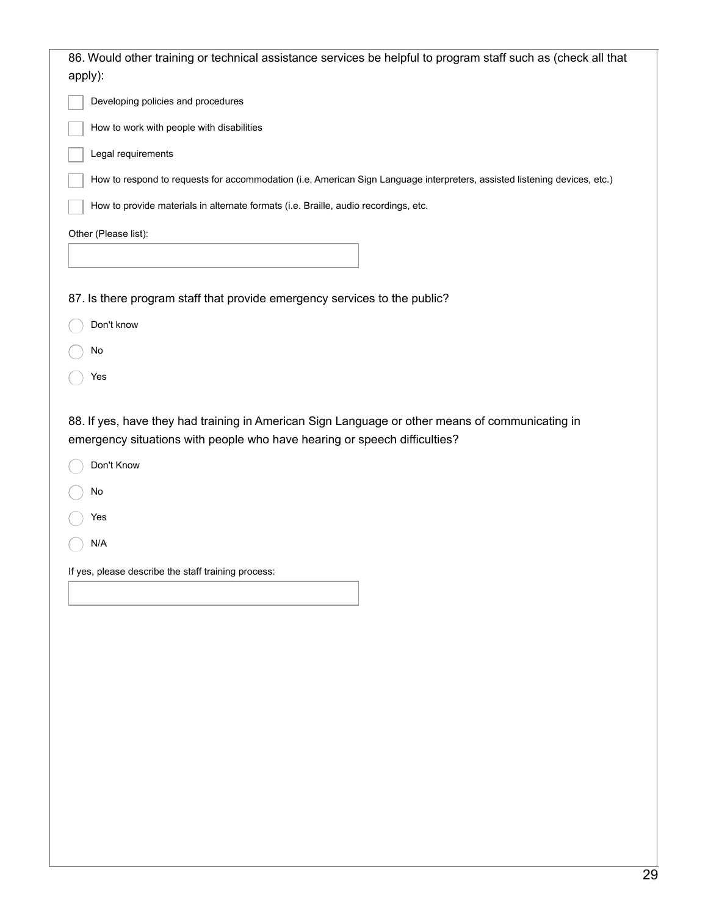| Developing policies and procedures                                                                                        |
|---------------------------------------------------------------------------------------------------------------------------|
| How to work with people with disabilities                                                                                 |
| Legal requirements                                                                                                        |
| How to respond to requests for accommodation (i.e. American Sign Language interpreters, assisted listening devices, etc.) |
| How to provide materials in alternate formats (i.e. Braille, audio recordings, etc.                                       |
| Other (Please list):                                                                                                      |
|                                                                                                                           |
| 87. Is there program staff that provide emergency services to the public?                                                 |
| Don't know                                                                                                                |
| No                                                                                                                        |
| Yes                                                                                                                       |
|                                                                                                                           |
| No                                                                                                                        |
| Yes                                                                                                                       |
| N/A                                                                                                                       |
| If yes, please describe the staff training process:                                                                       |
|                                                                                                                           |
|                                                                                                                           |
|                                                                                                                           |
|                                                                                                                           |
|                                                                                                                           |
|                                                                                                                           |
|                                                                                                                           |
|                                                                                                                           |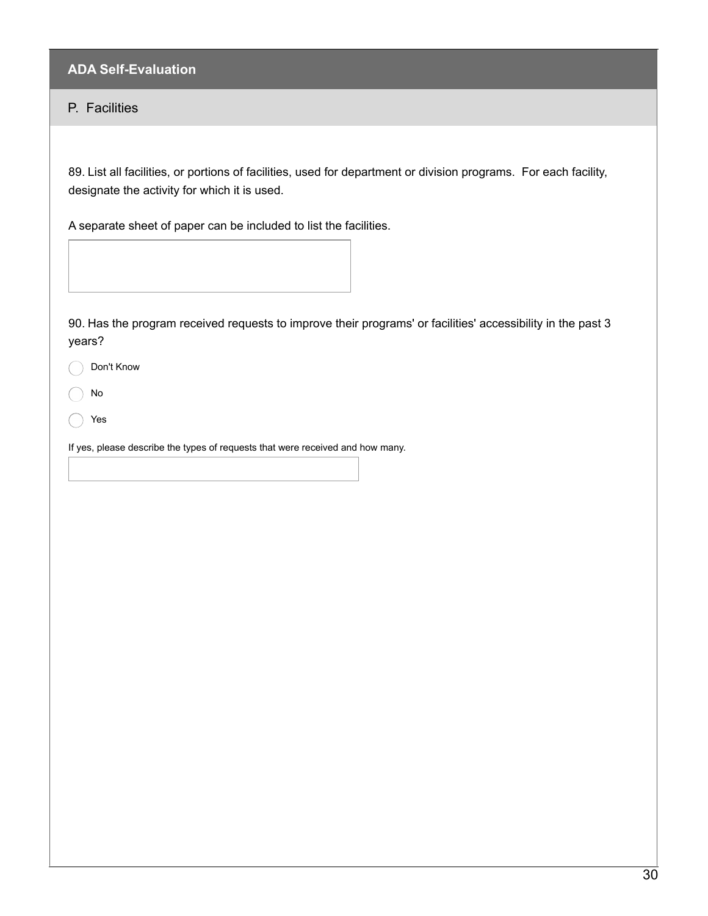# P. Facilities

89. List all facilities, or portions of facilities, used for department or division programs. For each facility, designate the activity for which it is used.

A separate sheet of paper can be included to list the facilities.

| 90. Has the program received requests to improve their programs' or facilities' accessibility in the past 3<br>years? |  |  |  |  |
|-----------------------------------------------------------------------------------------------------------------------|--|--|--|--|
| Don't Know                                                                                                            |  |  |  |  |
| $\operatorname{\mathsf{No}}$                                                                                          |  |  |  |  |
| Yes                                                                                                                   |  |  |  |  |
| If yes, please describe the types of requests that were received and how many.                                        |  |  |  |  |
|                                                                                                                       |  |  |  |  |
|                                                                                                                       |  |  |  |  |
|                                                                                                                       |  |  |  |  |
|                                                                                                                       |  |  |  |  |
|                                                                                                                       |  |  |  |  |
|                                                                                                                       |  |  |  |  |
|                                                                                                                       |  |  |  |  |
|                                                                                                                       |  |  |  |  |
|                                                                                                                       |  |  |  |  |
|                                                                                                                       |  |  |  |  |
|                                                                                                                       |  |  |  |  |
|                                                                                                                       |  |  |  |  |
|                                                                                                                       |  |  |  |  |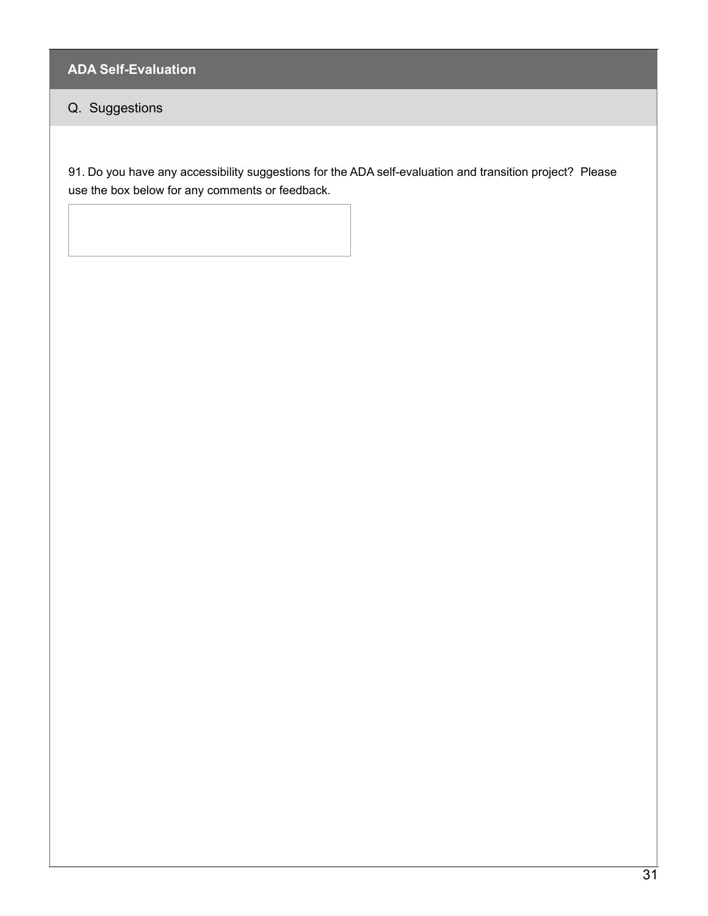# Q. Suggestions

91. Do you have any accessibility suggestions for the ADA self-evaluation and transition project? Please use the box below for any comments or feedback.